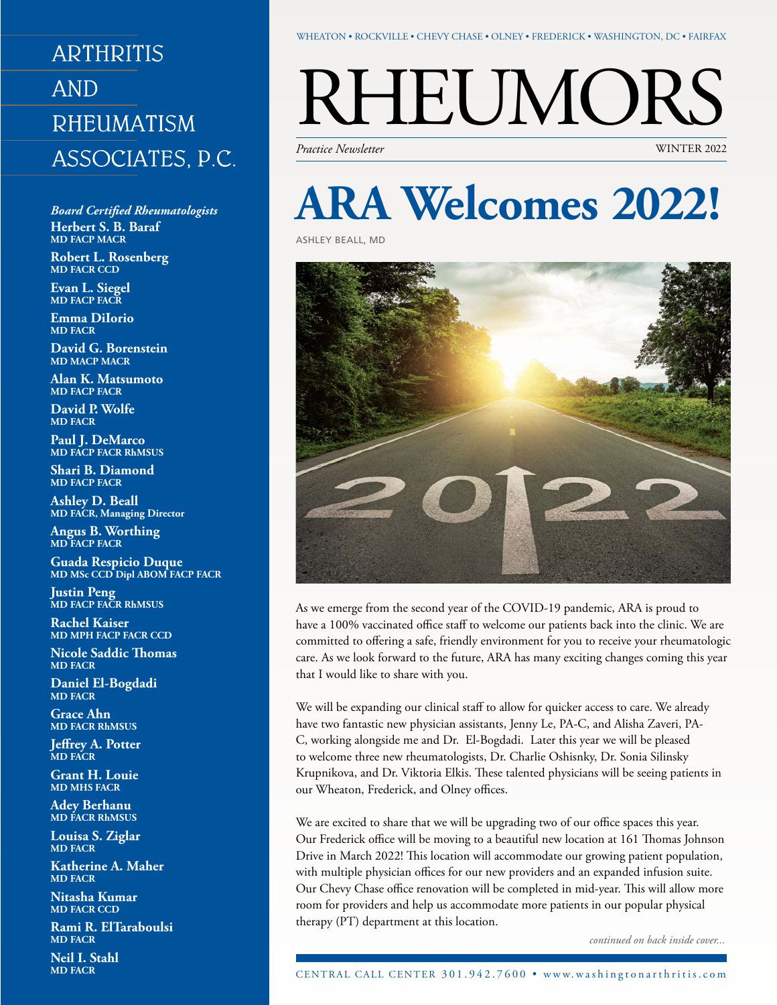## **ARTHRITIS AND RHEUMATISM** ASSOCIATES, P.C.

*Board Certified Rheumatologists* **Herbert S. B. Baraf MD FACP MACR**

**Robert L. Rosenberg MD FACR CCD**

**Evan L. Siegel MD FACP FACR**

**Emma DiIorio MD FACR**

**David G. Borenstein MD MACP MACR**

**Alan K. Matsumoto MD FACP FACR**

**David P. Wolfe MD FACR**

**Paul J. DeMarco MD FACP FACR RhMSUS**

**Shari B. Diamond MD FACP FACR**

**Ashley D. Beall MD FACR, Managing Director**

**Angus B. Worthing MD FACP FACR**

**Guada Respicio Duque MD MSc CCD Dipl ABOM FACP FACR**

**Justin Peng MD FACP FACR RhMSUS**

**Rachel Kaiser MD MPH FACP FACR CCD**

**Nicole Saddic Thomas MD FACR**

**Daniel El-Bogdadi MD FACR**

**Grace Ahn MD FACR RhMSUS**

**Jeffrey A. Potter MD FACR**

**Grant H. Louie MD MHS FACR**

**Adey Berhanu MD FACR RhMSUS**

**Louisa S. Ziglar MD FACR**

**Katherine A. Maher MD FACR**

**Nitasha Kumar MD FACR CCD**

**Rami R. ElTaraboulsi MD FACR**

**Neil I. Stahl MD FACR**

#### WHEATON • ROCKVILLE • CHEVY CHASE • Olney • Frederick • WASHINGTON, DC • Fairfax

# $\text{REUNORS} \ \text{F}_{\text{Practice Neusletter}}$

*Practice Newsletter* 

# **ARA Welcomes 2022!**

Ashley Beall, MD



As we emerge from the second year of the COVID-19 pandemic, ARA is proud to have a 100% vaccinated office staff to welcome our patients back into the clinic. We are committed to offering a safe, friendly environment for you to receive your rheumatologic care. As we look forward to the future, ARA has many exciting changes coming this year that I would like to share with you.

We will be expanding our clinical staff to allow for quicker access to care. We already have two fantastic new physician assistants, Jenny Le, PA-C, and Alisha Zaveri, PA-C, working alongside me and Dr. El-Bogdadi. Later this year we will be pleased to welcome three new rheumatologists, Dr. Charlie Oshisnky, Dr. Sonia Silinsky Krupnikova, and Dr. Viktoria Elkis. These talented physicians will be seeing patients in our Wheaton, Frederick, and Olney offices.

We are excited to share that we will be upgrading two of our office spaces this year. Our Frederick office will be moving to a beautiful new location at 161 Thomas Johnson Drive in March 2022! This location will accommodate our growing patient population, with multiple physician offices for our new providers and an expanded infusion suite. Our Chevy Chase office renovation will be completed in mid-year. This will allow more room for providers and help us accommodate more patients in our popular physical therapy (PT) department at this location.

*continued on back inside cover...*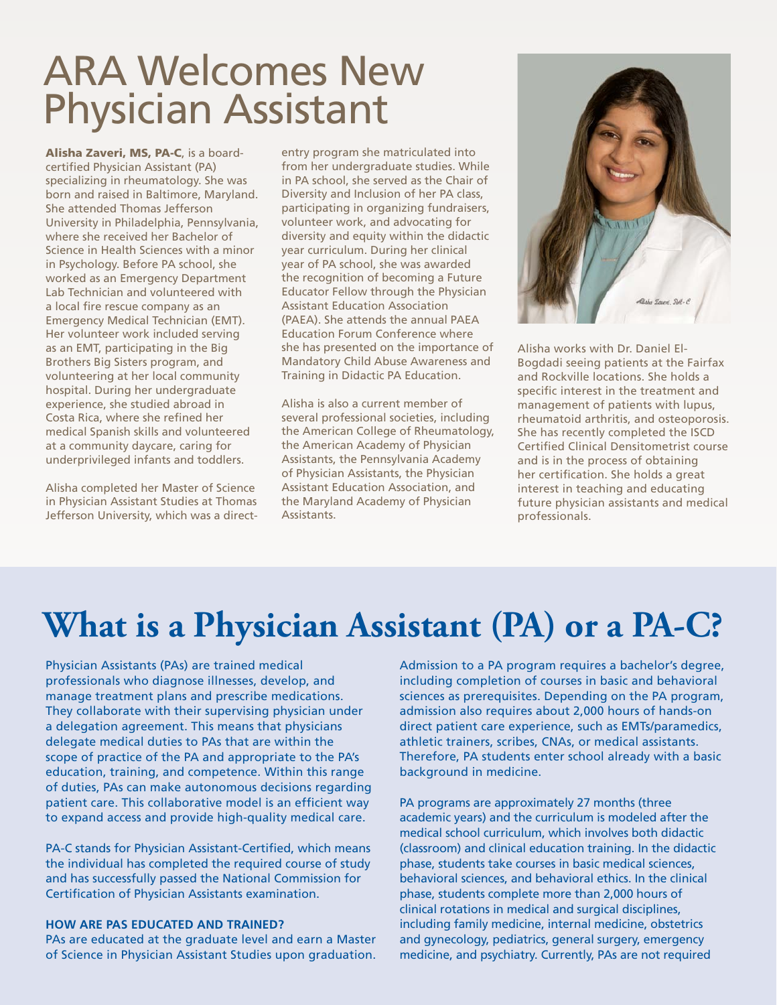# ARA Welcomes New Physician Assistant

Alisha Zaveri, MS, PA-C, is a boardcertified Physician Assistant (PA) specializing in rheumatology. She was born and raised in Baltimore, Maryland. She attended Thomas Jefferson University in Philadelphia, Pennsylvania, where she received her Bachelor of Science in Health Sciences with a minor in Psychology. Before PA school, she worked as an Emergency Department Lab Technician and volunteered with a local fire rescue company as an Emergency Medical Technician (EMT). Her volunteer work included serving as an EMT, participating in the Big Brothers Big Sisters program, and volunteering at her local community hospital. During her undergraduate experience, she studied abroad in Costa Rica, where she refined her medical Spanish skills and volunteered at a community daycare, caring for underprivileged infants and toddlers.

Alisha completed her Master of Science in Physician Assistant Studies at Thomas Jefferson University, which was a direct-

entry program she matriculated into from her undergraduate studies. While in PA school, she served as the Chair of Diversity and Inclusion of her PA class, participating in organizing fundraisers, volunteer work, and advocating for diversity and equity within the didactic year curriculum. During her clinical year of PA school, she was awarded the recognition of becoming a Future Educator Fellow through the Physician Assistant Education Association (PAEA). She attends the annual PAEA Education Forum Conference where she has presented on the importance of Mandatory Child Abuse Awareness and Training in Didactic PA Education.

Alisha is also a current member of several professional societies, including the American College of Rheumatology, the American Academy of Physician Assistants, the Pennsylvania Academy of Physician Assistants, the Physician Assistant Education Association, and the Maryland Academy of Physician Assistants.



Alisha works with Dr. Daniel El-Bogdadi seeing patients at the Fairfax and Rockville locations. She holds a specific interest in the treatment and management of patients with lupus, rheumatoid arthritis, and osteoporosis. She has recently completed the ISCD Certified Clinical Densitometrist course and is in the process of obtaining her certification. She holds a great interest in teaching and educating future physician assistants and medical professionals.

# **What is a Physician Assistant (PA) or a PA-C?**

Physician Assistants (PAs) are trained medical professionals who diagnose illnesses, develop, and manage treatment plans and prescribe medications. They collaborate with their supervising physician under a delegation agreement. This means that physicians delegate medical duties to PAs that are within the scope of practice of the PA and appropriate to the PA's education, training, and competence. Within this range of duties, PAs can make autonomous decisions regarding patient care. This collaborative model is an efficient way to expand access and provide high-quality medical care.

PA-C stands for Physician Assistant-Certified, which means the individual has completed the required course of study and has successfully passed the National Commission for Certification of Physician Assistants examination.

#### **How are PAs educated and trained?**

PAs are educated at the graduate level and earn a Master of Science in Physician Assistant Studies upon graduation.

Admission to a PA program requires a bachelor's degree, including completion of courses in basic and behavioral sciences as prerequisites. Depending on the PA program, admission also requires about 2,000 hours of hands-on direct patient care experience, such as EMTs/paramedics, athletic trainers, scribes, CNAs, or medical assistants. Therefore, PA students enter school already with a basic background in medicine.

PA programs are approximately 27 months (three academic years) and the curriculum is modeled after the medical school curriculum, which involves both didactic (classroom) and clinical education training. In the didactic phase, students take courses in basic medical sciences, behavioral sciences, and behavioral ethics. In the clinical phase, students complete more than 2,000 hours of clinical rotations in medical and surgical disciplines, including family medicine, internal medicine, obstetrics and gynecology, pediatrics, general surgery, emergency medicine, and psychiatry. Currently, PAs are not required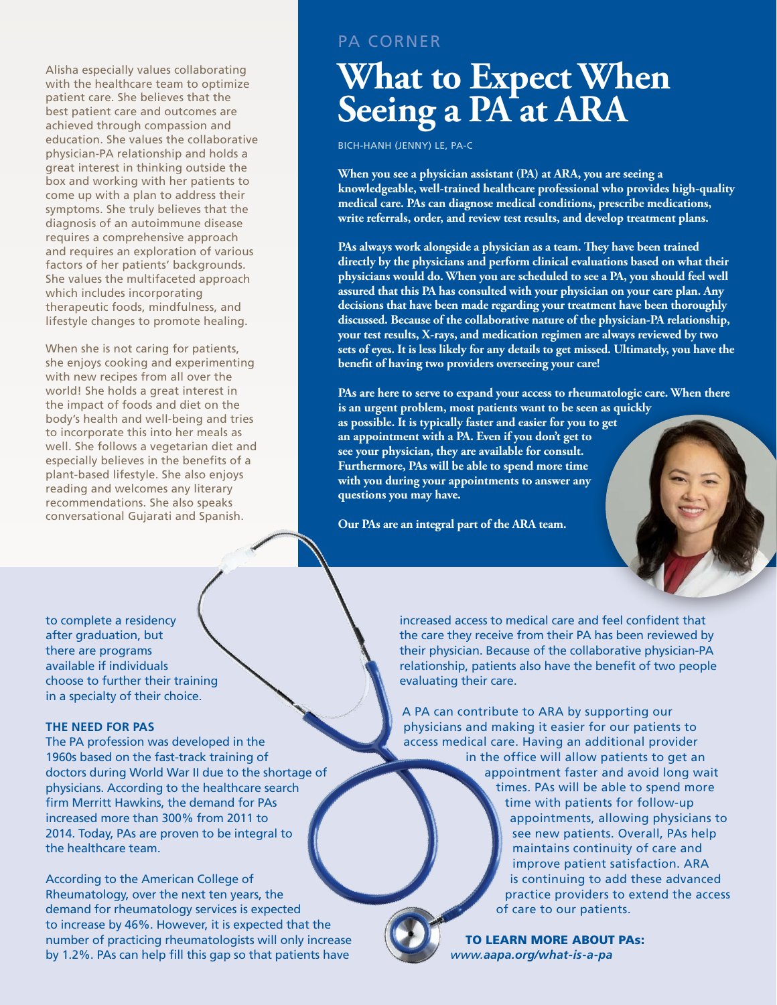Alisha especially values collaborating with the healthcare team to optimize patient care. She believes that the best patient care and outcomes are achieved through compassion and education. She values the collaborative physician-PA relationship and holds a great interest in thinking outside the box and working with her patients to come up with a plan to address their symptoms. She truly believes that the diagnosis of an autoimmune disease requires a comprehensive approach and requires an exploration of various factors of her patients' backgrounds. She values the multifaceted approach which includes incorporating therapeutic foods, mindfulness, and lifestyle changes to promote healing.

When she is not caring for patients, she enjoys cooking and experimenting with new recipes from all over the world! She holds a great interest in the impact of foods and diet on the body's health and well-being and tries to incorporate this into her meals as well. She follows a vegetarian diet and especially believes in the benefits of a plant-based lifestyle. She also enjoys reading and welcomes any literary recommendations. She also speaks conversational Gujarati and Spanish.

PA Corner

## **What to Expect When Seeing a PA at ARA**

Bich-Hanh (Jenny) Le, PA-C

**When you see a physician assistant (PA) at ARA, you are seeing a knowledgeable, well-trained healthcare professional who provides high-quality medical care. PAs can diagnose medical conditions, prescribe medications, write referrals, order, and review test results, and develop treatment plans.** 

**PAs always work alongside a physician as a team. They have been trained directly by the physicians and perform clinical evaluations based on what their physicians would do. When you are scheduled to see a PA, you should feel well assured that this PA has consulted with your physician on your care plan. Any decisions that have been made regarding your treatment have been thoroughly discussed. Because of the collaborative nature of the physician-PA relationship, your test results, X-rays, and medication regimen are always reviewed by two sets of eyes. It is less likely for any details to get missed. Ultimately, you have the benefit of having two providers overseeing your care!**

**PAs are here to serve to expand your access to rheumatologic care. When there is an urgent problem, most patients want to be seen as quickly as possible. It is typically faster and easier for you to get an appointment with a PA. Even if you don't get to see your physician, they are available for consult. Furthermore, PAs will be able to spend more time with you during your appointments to answer any questions you may have.** 

**Our PAs are an integral part of the ARA team.** 

to complete a residency after graduation, but there are programs available if individuals choose to further their training in a specialty of their choice.

#### **The Need for PAs**

The PA profession was developed in the 1960s based on the fast-track training of doctors during World War II due to the shortage of physicians. According to the healthcare search firm Merritt Hawkins, the demand for PAs increased more than 300% from 2011 to 2014. Today, PAs are proven to be integral to the healthcare team.

According to the American College of Rheumatology, over the next ten years, the demand for rheumatology services is expected to increase by 46%. However, it is expected that the number of practicing rheumatologists will only increase by 1.2%. PAs can help fill this gap so that patients have

increased access to medical care and feel confident that the care they receive from their PA has been reviewed by their physician. Because of the collaborative physician-PA relationship, patients also have the benefit of two people evaluating their care.

A PA can contribute to ARA by supporting our physicians and making it easier for our patients to access medical care. Having an additional provider in the office will allow patients to get an appointment faster and avoid long wait times. PAs will be able to spend more time with patients for follow-up appointments, allowing physicians to see new patients. Overall, PAs help maintains continuity of care and improve patient satisfaction. ARA is continuing to add these advanced practice providers to extend the access of care to our patients.

> To learn more about PAs: *www.aapa.org/what-is-a-pa*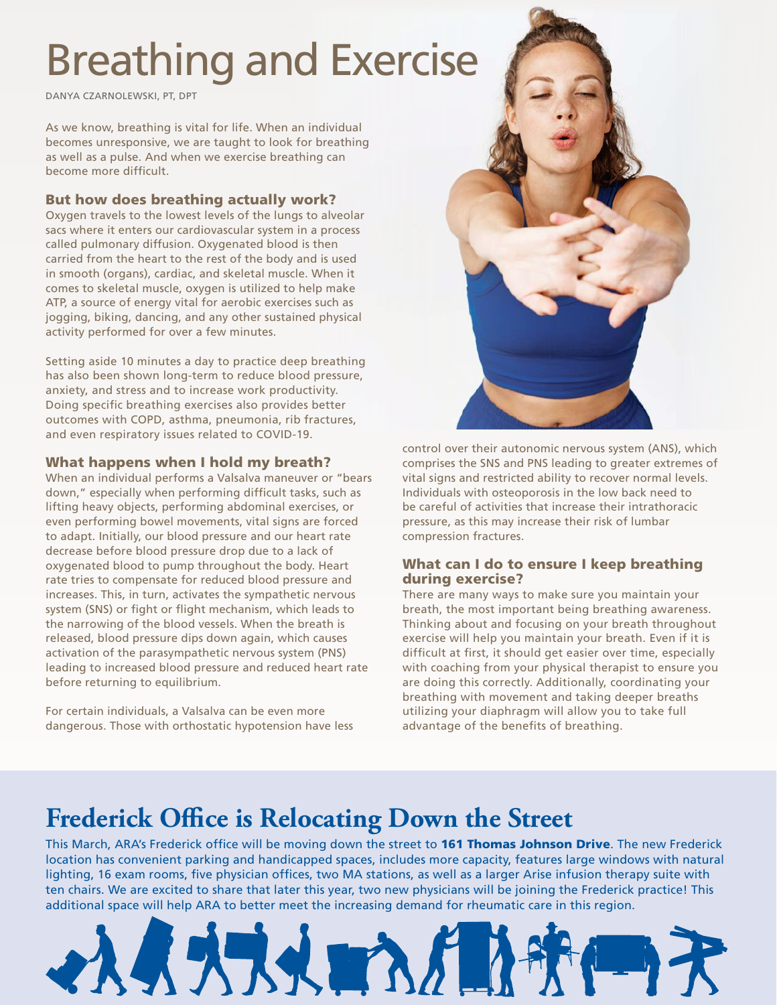# Breathing and Exercise

Danya Czarnolewski, PT, DPT

As we know, breathing is vital for life. When an individual becomes unresponsive, we are taught to look for breathing as well as a pulse. And when we exercise breathing can become more difficult.

## But how does breathing actually work?

Oxygen travels to the lowest levels of the lungs to alveolar sacs where it enters our cardiovascular system in a process called pulmonary diffusion. Oxygenated blood is then carried from the heart to the rest of the body and is used in smooth (organs), cardiac, and skeletal muscle. When it comes to skeletal muscle, oxygen is utilized to help make ATP, a source of energy vital for aerobic exercises such as jogging, biking, dancing, and any other sustained physical activity performed for over a few minutes.

Setting aside 10 minutes a day to practice deep breathing has also been shown long-term to reduce blood pressure, anxiety, and stress and to increase work productivity. Doing specific breathing exercises also provides better outcomes with COPD, asthma, pneumonia, rib fractures, and even respiratory issues related to COVID-19.

### What happens when I hold my breath?

When an individual performs a Valsalva maneuver or "bears down," especially when performing difficult tasks, such as lifting heavy objects, performing abdominal exercises, or even performing bowel movements, vital signs are forced to adapt. Initially, our blood pressure and our heart rate decrease before blood pressure drop due to a lack of oxygenated blood to pump throughout the body. Heart rate tries to compensate for reduced blood pressure and increases. This, in turn, activates the sympathetic nervous system (SNS) or fight or flight mechanism, which leads to the narrowing of the blood vessels. When the breath is released, blood pressure dips down again, which causes activation of the parasympathetic nervous system (PNS) leading to increased blood pressure and reduced heart rate before returning to equilibrium.

For certain individuals, a Valsalva can be even more dangerous. Those with orthostatic hypotension have less



control over their autonomic nervous system (ANS), which comprises the SNS and PNS leading to greater extremes of vital signs and restricted ability to recover normal levels. Individuals with osteoporosis in the low back need to be careful of activities that increase their intrathoracic pressure, as this may increase their risk of lumbar compression fractures.

### What can I do to ensure I keep breathing during exercise?

There are many ways to make sure you maintain your breath, the most important being breathing awareness. Thinking about and focusing on your breath throughout exercise will help you maintain your breath. Even if it is difficult at first, it should get easier over time, especially with coaching from your physical therapist to ensure you are doing this correctly. Additionally, coordinating your breathing with movement and taking deeper breaths utilizing your diaphragm will allow you to take full advantage of the benefits of breathing.

## **Frederick Office is Relocating Down the Street**

This March, ARA's Frederick office will be moving down the street to 161 Thomas Johnson Drive. The new Frederick location has convenient parking and handicapped spaces, includes more capacity, features large windows with natural lighting, 16 exam rooms, five physician offices, two MA stations, as well as a larger Arise infusion therapy suite with ten chairs. We are excited to share that later this year, two new physicians will be joining the Frederick practice! This additional space will help ARA to better meet the increasing demand for rheumatic care in this region.

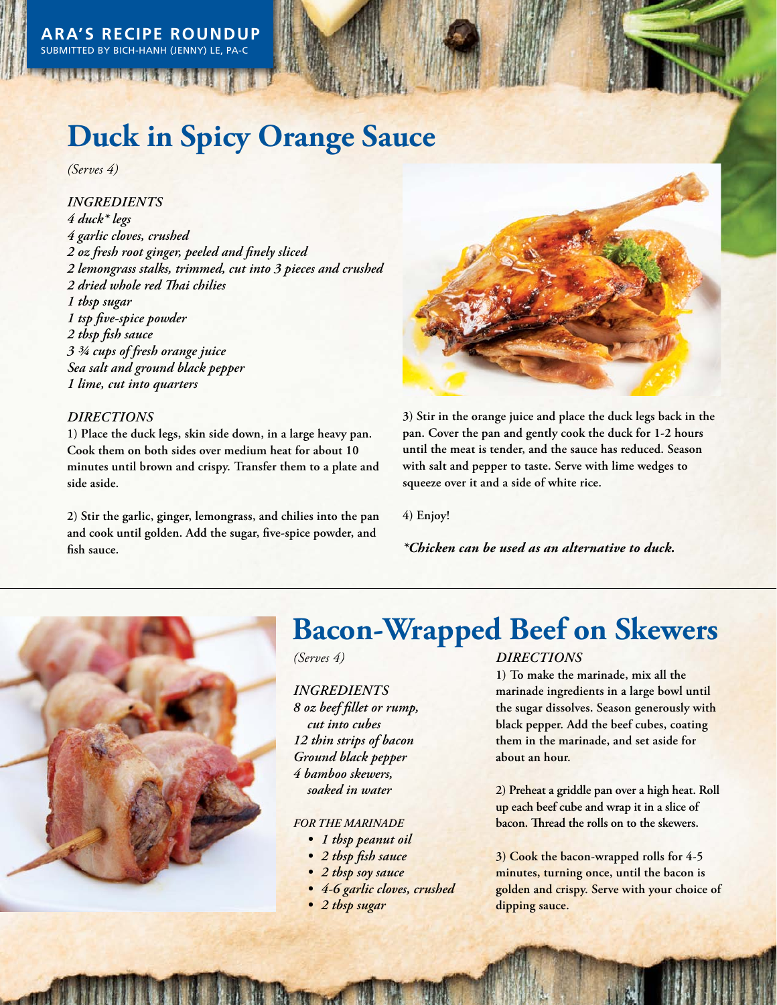## **Duck in Spicy Orange Sauce**

*(Serves 4)*

*INGREDIENTS 4 duck\* legs 4 garlic cloves, crushed 2 oz fresh root ginger, peeled and finely sliced 2 lemongrass stalks, trimmed, cut into 3 pieces and crushed 2 dried whole red Thai chilies 1 tbsp sugar 1 tsp five-spice powder 2 tbsp fish sauce 3 ¾ cups of fresh orange juice Sea salt and ground black pepper 1 lime, cut into quarters*

### *Directions*

**1) Place the duck legs, skin side down, in a large heavy pan. Cook them on both sides over medium heat for about 10 minutes until brown and crispy. Transfer them to a plate and side aside.**

**2) Stir the garlic, ginger, lemongrass, and chilies into the pan and cook until golden. Add the sugar, five-spice powder, and fish sauce.**



**3) Stir in the orange juice and place the duck legs back in the pan. Cover the pan and gently cook the duck for 1-2 hours until the meat is tender, and the sauce has reduced. Season with salt and pepper to taste. Serve with lime wedges to squeeze over it and a side of white rice.**

**4) Enjoy!**

*\*Chicken can be used as an alternative to duck.* 



## **Bacon-Wrapped Beef on Skewers**

*(Serves 4)*

## *INGREDIENTS 8 oz beef fillet or rump, cut into cubes 12 thin strips of bacon Ground black pepper 4 bamboo skewers, soaked in water*

#### *For the marinade*

- *• 1 tbsp peanut oil*
- *• 2 tbsp fish sauce*
- *• 2 tbsp soy sauce*
- *• 4-6 garlic cloves, crushed*
- *• 2 tbsp sugar*

#### *Directions*

**1) To make the marinade, mix all the marinade ingredients in a large bowl until the sugar dissolves. Season generously with black pepper. Add the beef cubes, coating them in the marinade, and set aside for about an hour.**

**2) Preheat a griddle pan over a high heat. Roll up each beef cube and wrap it in a slice of bacon. Thread the rolls on to the skewers.** 

**3) Cook the bacon-wrapped rolls for 4-5 minutes, turning once, until the bacon is golden and crispy. Serve with your choice of dipping sauce.**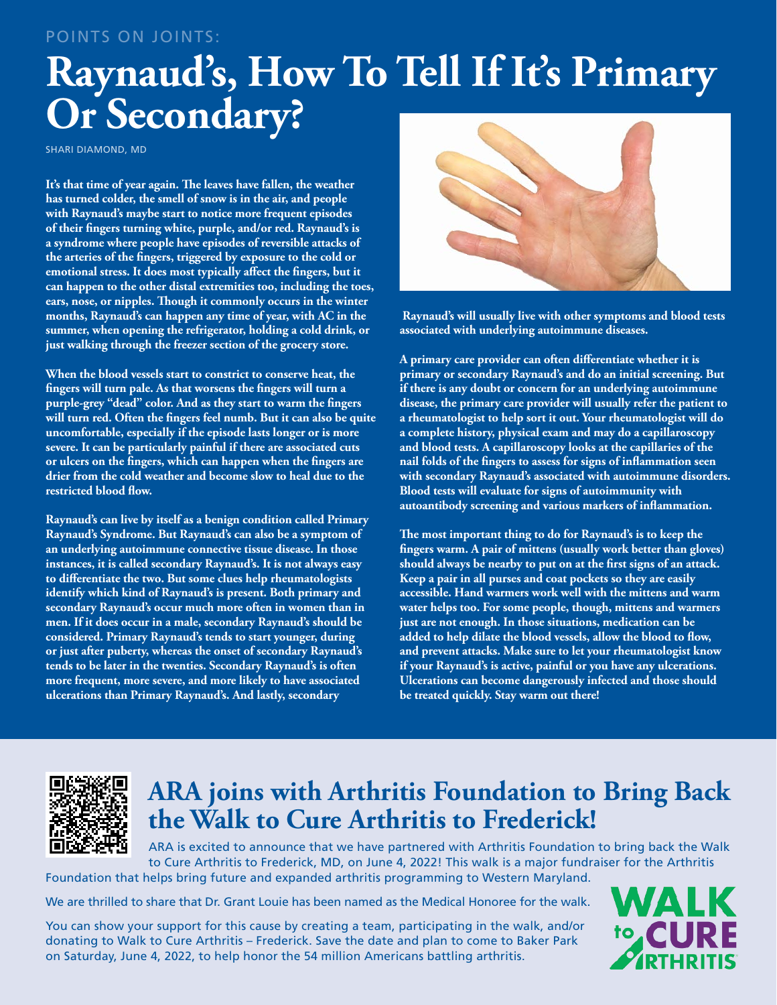## Points on joints:

# **Raynaud's, How To Tell If It's Primary Or Secondary?**

SHARI DIAMOND, MD

**It's that time of year again. The leaves have fallen, the weather has turned colder, the smell of snow is in the air, and people with Raynaud's maybe start to notice more frequent episodes of their fingers turning white, purple, and/or red. Raynaud's is a syndrome where people have episodes of reversible attacks of the arteries of the fingers, triggered by exposure to the cold or emotional stress. It does most typically affect the fingers, but it can happen to the other distal extremities too, including the toes, ears, nose, or nipples. Though it commonly occurs in the winter months, Raynaud's can happen any time of year, with AC in the summer, when opening the refrigerator, holding a cold drink, or just walking through the freezer section of the grocery store.** 

**When the blood vessels start to constrict to conserve heat, the fingers will turn pale. As that worsens the fingers will turn a purple-grey "dead" color. And as they start to warm the fingers will turn red. Often the fingers feel numb. But it can also be quite uncomfortable, especially if the episode lasts longer or is more severe. It can be particularly painful if there are associated cuts or ulcers on the fingers, which can happen when the fingers are drier from the cold weather and become slow to heal due to the restricted blood flow.** 

**Raynaud's can live by itself as a benign condition called Primary Raynaud's Syndrome. But Raynaud's can also be a symptom of an underlying autoimmune connective tissue disease. In those instances, it is called secondary Raynaud's. It is not always easy to differentiate the two. But some clues help rheumatologists identify which kind of Raynaud's is present. Both primary and secondary Raynaud's occur much more often in women than in men. If it does occur in a male, secondary Raynaud's should be considered. Primary Raynaud's tends to start younger, during or just after puberty, whereas the onset of secondary Raynaud's tends to be later in the twenties. Secondary Raynaud's is often more frequent, more severe, and more likely to have associated ulcerations than Primary Raynaud's. And lastly, secondary**



 **Raynaud's will usually live with other symptoms and blood tests associated with underlying autoimmune diseases.** 

**A primary care provider can often differentiate whether it is primary or secondary Raynaud's and do an initial screening. But if there is any doubt or concern for an underlying autoimmune disease, the primary care provider will usually refer the patient to a rheumatologist to help sort it out. Your rheumatologist will do a complete history, physical exam and may do a capillaroscopy and blood tests. A capillaroscopy looks at the capillaries of the nail folds of the fingers to assess for signs of inflammation seen with secondary Raynaud's associated with autoimmune disorders. Blood tests will evaluate for signs of autoimmunity with autoantibody screening and various markers of inflammation.** 

**The most important thing to do for Raynaud's is to keep the fingers warm. A pair of mittens (usually work better than gloves) should always be nearby to put on at the first signs of an attack. Keep a pair in all purses and coat pockets so they are easily accessible. Hand warmers work well with the mittens and warm water helps too. For some people, though, mittens and warmers just are not enough. In those situations, medication can be added to help dilate the blood vessels, allow the blood to flow, and prevent attacks. Make sure to let your rheumatologist know if your Raynaud's is active, painful or you have any ulcerations. Ulcerations can become dangerously infected and those should be treated quickly. Stay warm out there!**



## **ARA joins with Arthritis Foundation to Bring Back the Walk to Cure Arthritis to Frederick!**

ARA is excited to announce that we have partnered with Arthritis Foundation to bring back the Walk to Cure Arthritis to Frederick, MD, on June 4, 2022! This walk is a major fundraiser for the Arthritis Foundation that helps bring future and expanded arthritis programming to Western Maryland.

We are thrilled to share that Dr. Grant Louie has been named as the Medical Honoree for the walk.

You can show your support for this cause by creating a team, participating in the walk, and/or donating to Walk to Cure Arthritis – Frederick. Save the date and plan to come to Baker Park on Saturday, June 4, 2022, to help honor the 54 million Americans battling arthritis.

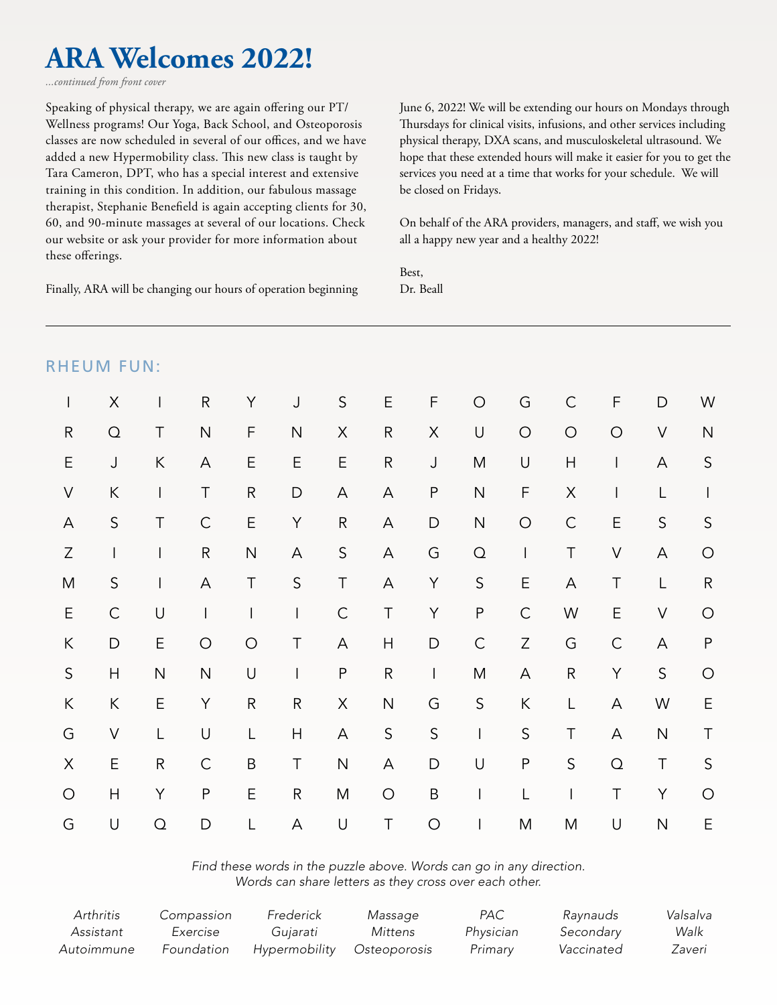## **ARA Welcomes 2022!**

*...continued from front cover*

Speaking of physical therapy, we are again offering our PT/ Wellness programs! Our Yoga, Back School, and Osteoporosis classes are now scheduled in several of our offices, and we have added a new Hypermobility class. This new class is taught by Tara Cameron, DPT, who has a special interest and extensive training in this condition. In addition, our fabulous massage therapist, Stephanie Benefield is again accepting clients for 30, 60, and 90-minute massages at several of our locations. Check our website or ask your provider for more information about these offerings.

Finally, ARA will be changing our hours of operation beginning

June 6, 2022! We will be extending our hours on Mondays through Thursdays for clinical visits, infusions, and other services including physical therapy, DXA scans, and musculoskeletal ultrasound. We hope that these extended hours will make it easier for you to get the services you need at a time that works for your schedule. We will be closed on Fridays.

On behalf of the ARA providers, managers, and staff, we wish you all a happy new year and a healthy 2022!

Best, Dr. Beall

|                           | <b>RHEUM FUN:</b>        |                                       |                           |              |              |                         |                           |                    |                                |                                                                                                                                                                                                                                                                                                                                                                                                                |                          |                           |                         |                          |
|---------------------------|--------------------------|---------------------------------------|---------------------------|--------------|--------------|-------------------------|---------------------------|--------------------|--------------------------------|----------------------------------------------------------------------------------------------------------------------------------------------------------------------------------------------------------------------------------------------------------------------------------------------------------------------------------------------------------------------------------------------------------------|--------------------------|---------------------------|-------------------------|--------------------------|
| $\mathsf{I}$              | $\sf X$                  | $\begin{array}{c} \hline \end{array}$ | ${\sf R}$                 | Y            | $\mathsf J$  | $\mathsf S$             | E                         | F                  | $\bigcirc$                     | G                                                                                                                                                                                                                                                                                                                                                                                                              | $\mathsf{C}$             | F                         | D                       | W                        |
| ${\sf R}$                 | $\mathsf{O}$             | $\top$                                | $\mathsf{N}$              | F            | ${\sf N}$    | $\mathsf X$             | ${\sf R}$                 | $\mathsf{X}% _{0}$ | $\cup$                         | $\bigcirc$                                                                                                                                                                                                                                                                                                                                                                                                     | $\bigcirc$               | $\bigcirc$                | $\bigvee$               | $\overline{\mathsf{N}}$  |
| $\mathsf E$               | $\mathsf J$              | $\sf K$                               | $\boldsymbol{\mathsf{A}}$ | Ε            | $\mathsf E$  | $\mathsf E$             | ${\sf R}$                 | $\mathsf J$        | M                              | $\cup$                                                                                                                                                                                                                                                                                                                                                                                                         | $\overline{H}$           | $\overline{\phantom{a}}$  | A                       | $\mathsf S$              |
| $\vee$                    | $\sf K$                  | $\overline{\phantom{a}}$              | $\top$                    | ${\sf R}$    | D            | A                       | A                         | $\mathsf P$        | ${\sf N}$                      | F                                                                                                                                                                                                                                                                                                                                                                                                              | $\mathsf X$              | $\overline{\phantom{a}}$  | L                       | $\overline{\phantom{a}}$ |
| $\boldsymbol{\mathsf{A}}$ | $\mathsf S$              | T                                     | $\mathsf C$               | E            | Υ            | ${\sf R}$               | A                         | $\mathsf D$        | ${\sf N}$                      | $\bigcirc$                                                                                                                                                                                                                                                                                                                                                                                                     | $\mathsf C$              | E                         | $\mathsf S$             | $\mathsf S$              |
| $\mathsf Z$               | $\overline{\phantom{a}}$ | $\begin{array}{c} \end{array}$        | ${\sf R}$                 | ${\sf N}$    | A            | $\mathsf S$             | A                         | G                  | $\Omega$                       | $\begin{array}{c} \rule{0pt}{2ex} \rule{0pt}{2ex} \rule{0pt}{2ex} \rule{0pt}{2ex} \rule{0pt}{2ex} \rule{0pt}{2ex} \rule{0pt}{2ex} \rule{0pt}{2ex} \rule{0pt}{2ex} \rule{0pt}{2ex} \rule{0pt}{2ex} \rule{0pt}{2ex} \rule{0pt}{2ex} \rule{0pt}{2ex} \rule{0pt}{2ex} \rule{0pt}{2ex} \rule{0pt}{2ex} \rule{0pt}{2ex} \rule{0pt}{2ex} \rule{0pt}{2ex} \rule{0pt}{2ex} \rule{0pt}{2ex} \rule{0pt}{2ex} \rule{0pt}{$ | $\top$                   | $\bigvee$                 | A                       | $\bigcirc$               |
| M                         | $\mathsf S$              | $\begin{array}{c} \end{array}$        | A                         | $\top$       | $\mathsf S$  | $\top$                  | A                         | Y                  | $\mathsf S$                    | $\mathsf E$                                                                                                                                                                                                                                                                                                                                                                                                    | A                        | T                         | L                       | ${\sf R}$                |
| $\mathsf E$               | $\mathsf C$              | $\cup$                                | $\overline{\phantom{a}}$  | $\mathsf{I}$ | L            | $\mathsf C$             | $\top$                    | Y                  | $\mathsf{P}$                   | $\mathsf C$                                                                                                                                                                                                                                                                                                                                                                                                    | W                        | $\mathsf E$               | $\vee$                  | $\bigcirc$               |
| $\sf K$                   | $\mathsf D$              | E                                     | $\bigcirc$                | $\bigcirc$   | $\top$       | A                       | $\boldsymbol{\mathsf{H}}$ | $\mathsf{D}$       | $\mathsf C$                    | $\mathsf Z$                                                                                                                                                                                                                                                                                                                                                                                                    | G                        | $\mathsf C$               | A                       | $\sf P$                  |
| $\mathsf S$               | $\overline{H}$           | $\overline{N}$                        | $\overline{\mathsf{N}}$   | $\cup$       | $\mathsf{I}$ | ${\sf P}$               | ${\sf R}$                 | $\mathsf{I}$       | ${\sf M}$                      | $\mathsf A$                                                                                                                                                                                                                                                                                                                                                                                                    | ${\sf R}$                | Y                         | $\mathsf S$             | $\bigcirc$               |
| $\sf K$                   | $\sf K$                  | E                                     | Y                         | ${\sf R}$    | ${\sf R}$    | $\mathsf X$             | $\mathsf{N}$              | G                  | $\mathsf S$                    | $\sf K$                                                                                                                                                                                                                                                                                                                                                                                                        | L                        | $\mathsf A$               | W                       | E                        |
| G                         | $\vee$                   | L                                     | $\cup$                    | L            | Н            | $\mathsf A$             | $\sf S$                   | $\mathsf S$        | $\mathsf I$                    | $\mathsf S$                                                                                                                                                                                                                                                                                                                                                                                                    | $\top$                   | $\boldsymbol{\mathsf{A}}$ | $\mathsf{N}$            | $\top$                   |
| $\mathsf X$               | E                        | ${\sf R}$                             | $\mathsf C$               | $\sf B$      | $\top$       | $\overline{\mathsf{N}}$ | A                         | D                  | $\cup$                         | $\sf P$                                                                                                                                                                                                                                                                                                                                                                                                        | $\mathsf S$              | $\mathsf O$               | $\top$                  | $\mathsf S$              |
| $\bigcirc$                | $\overline{H}$           | Υ                                     | $\mathsf P$               | Ε            | ${\sf R}$    | M                       | $\bigcirc$                | $\sf B$            | $\begin{array}{c} \end{array}$ | $\mathsf{L}$                                                                                                                                                                                                                                                                                                                                                                                                   | $\overline{\phantom{a}}$ | $\top$                    | Y                       | $\bigcirc$               |
| G                         | $\cup$                   | $\Omega$                              | D                         | L            | A            | $\cup$                  | $\top$                    | $\bigcirc$         | I                              | M                                                                                                                                                                                                                                                                                                                                                                                                              | M                        | U                         | $\overline{\mathsf{N}}$ | E                        |

### *Find these words in the puzzle above. Words can go in any direction. Words can share letters as they cross over each other.*

| Arthritis  | Compassion | Frederick     | Massage      | PAC       | Raynauds   | Valsalva |
|------------|------------|---------------|--------------|-----------|------------|----------|
| Assistant  | Exercise   | Gujarati      | Mittens      | Physician | Secondary  | Walk     |
| Autoimmune | Foundation | Hypermobility | Osteoporosis | Primary   | Vaccinated | Zaveri   |